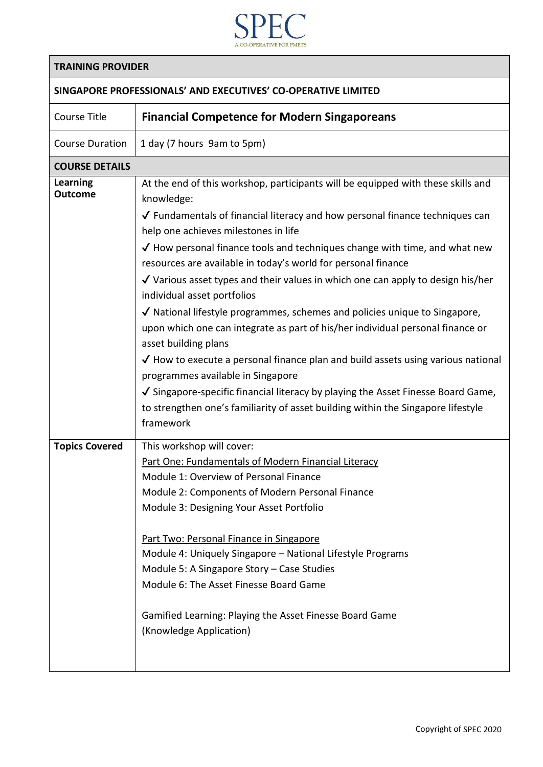

|  | <b>TRAINING PROVIDER</b> |
|--|--------------------------|
|--|--------------------------|

## **SINGAPORE PROFESSIONALS' AND EXECUTIVES' CO-OPERATIVE LIMITED**

| <b>Course Title</b>               | <b>Financial Competence for Modern Singaporeans</b>                                                                                                                                                                                                                                                                                                                                                                                                                                                                                                                                                                                                                                                                                                                                                                                                                                                                                                                                                                              |
|-----------------------------------|----------------------------------------------------------------------------------------------------------------------------------------------------------------------------------------------------------------------------------------------------------------------------------------------------------------------------------------------------------------------------------------------------------------------------------------------------------------------------------------------------------------------------------------------------------------------------------------------------------------------------------------------------------------------------------------------------------------------------------------------------------------------------------------------------------------------------------------------------------------------------------------------------------------------------------------------------------------------------------------------------------------------------------|
| <b>Course Duration</b>            | 1 day (7 hours 9am to 5pm)                                                                                                                                                                                                                                                                                                                                                                                                                                                                                                                                                                                                                                                                                                                                                                                                                                                                                                                                                                                                       |
| <b>COURSE DETAILS</b>             |                                                                                                                                                                                                                                                                                                                                                                                                                                                                                                                                                                                                                                                                                                                                                                                                                                                                                                                                                                                                                                  |
| <b>Learning</b><br><b>Outcome</b> | At the end of this workshop, participants will be equipped with these skills and<br>knowledge:<br>$\sqrt{\ }$ Fundamentals of financial literacy and how personal finance techniques can<br>help one achieves milestones in life<br>$\checkmark$ How personal finance tools and techniques change with time, and what new<br>resources are available in today's world for personal finance<br>$\sqrt{}$ Various asset types and their values in which one can apply to design his/her<br>individual asset portfolios<br>√ National lifestyle programmes, schemes and policies unique to Singapore,<br>upon which one can integrate as part of his/her individual personal finance or<br>asset building plans<br>$\sqrt$ How to execute a personal finance plan and build assets using various national<br>programmes available in Singapore<br>√ Singapore-specific financial literacy by playing the Asset Finesse Board Game,<br>to strengthen one's familiarity of asset building within the Singapore lifestyle<br>framework |
| <b>Topics Covered</b>             | This workshop will cover:<br>Part One: Fundamentals of Modern Financial Literacy<br>Module 1: Overview of Personal Finance<br>Module 2: Components of Modern Personal Finance<br>Module 3: Designing Your Asset Portfolio<br>Part Two: Personal Finance in Singapore<br>Module 4: Uniquely Singapore - National Lifestyle Programs<br>Module 5: A Singapore Story - Case Studies<br>Module 6: The Asset Finesse Board Game<br>Gamified Learning: Playing the Asset Finesse Board Game<br>(Knowledge Application)                                                                                                                                                                                                                                                                                                                                                                                                                                                                                                                 |